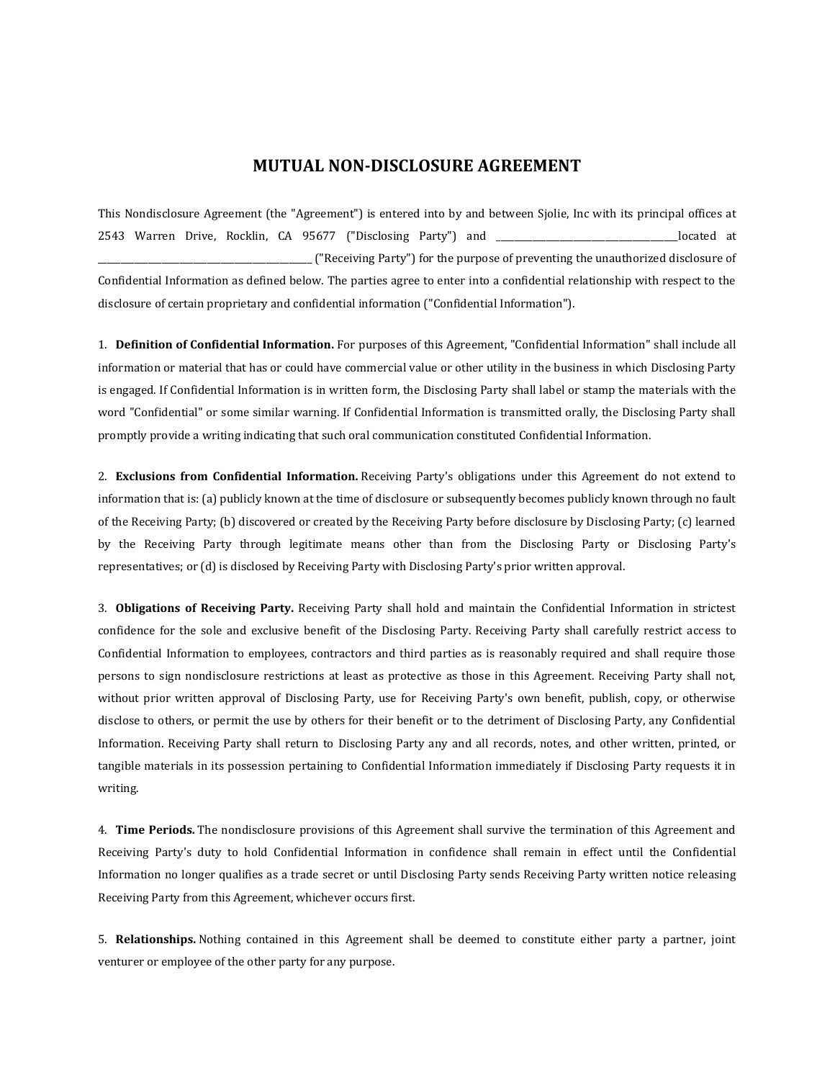## **MUTUAL NON-DISCLOSURE AGREEMENT**

This Nondisclosure Agreement (the "Agreement") is entered into by and between Sjolie, Inc with its principal offices at 2543 Warren Drive, Rocklin, CA 95677 (["Disclosing Party"](http://www.ndasforfree.com/NDAS/GetBasicExp.html#Who_Is_Disclosing_Who_Is_Receiving)) and \_\_\_\_\_\_\_\_\_\_\_\_\_\_\_\_\_\_\_\_\_\_\_\_\_\_\_\_\_\_\_\_\_\_\_\_\_\_\_\_located at \_\_\_\_\_\_\_\_\_\_\_\_\_\_\_\_\_\_\_\_\_\_\_\_\_\_\_\_\_\_\_\_\_\_\_\_\_\_\_\_\_\_\_\_\_\_\_ (["Receiving Party"](http://www.ndasforfree.com/NDAS/GetBasicExp.html#Who_Is_Disclosing_Who_Is_Receiving)) for the purpose of preventing the unauthorized disclosure of Confidential Information as defined below. The parties agree to enter into a confidential relationship with respect to the disclosure of certain proprietary and confidential information ("Confidential Information").

1. **[Definition of Confidential Information.](http://www.ndasforfree.com/NDAS/GetBasicExp.html#2.____Defining_the_Trade_Secrets)** For purposes of this Agreement, "Confidential Information" shall include all information or material that has or could have commercial value or other utility in the business in which Disclosing Party is engaged. If Confidential Information is in written form, the Disclosing Party shall label or stamp the materials with the word "Confidential" or some similar warning. If Confidential Information is transmitted orally, the Disclosing Party shall promptly provide a writing indicating that such oral communication constituted Confidential Information.

2. **[Exclusions from Confidential Information.](http://www.ndasforfree.com/NDAS/GetBasicExp.html#3.____Excluding_Information_That_Is_Not_Confidential)** Receiving Party's obligations under this Agreement do not extend to information that is: (a) publicly known at the time of disclosure or subsequently becomes publicly known through no fault of the Receiving Party; (b) discovered or created by the Receiving Party before disclosure by Disclosing Party; (c) learned by the Receiving Party through legitimate means other than from the Disclosing Party or Disclosing Party's representatives; or (d) is disclosed by Receiving Party with Disclosing Party's prior written approval.

3. **[Obligations of Receiving Party.](http://www.ndasforfree.com/NDAS/GetBasicExp.html#4.____Duty_to_Keep_Information_Secret_)** Receiving Party shall hold and maintain the Confidential Information in strictest confidence for the sole and exclusive benefit of the Disclosing Party. Receiving Party shall carefully restrict access to Confidential Information to employees, contractors and third parties as is reasonably required and shall require those persons to sign nondisclosure restrictions at least as protective as those in this Agreement. Receiving Party shall not, without prior written approval of Disclosing Party, use for Receiving Party's own benefit, publish, copy, or otherwise disclose to others, or permit the use by others for their benefit or to the detriment of Disclosing Party, any Confidential Information. Receiving Party shall return to Disclosing Party any and all records, notes, and other written, printed, or tangible materials in its possession pertaining to Confidential Information immediately if Disclosing Party requests it in writing.

4. **[Time Periods.](http://www.ndasforfree.com/NDAS/GetBasicExp.html#5.____Duration_of_the_Agreement)** The nondisclosure provisions of this Agreement shall survive the termination of this Agreement and Receiving Party's duty to hold Confidential Information in confidence shall remain in effect until the Confidential Information no longer qualifies as a trade secret or until Disclosing Party sends Receiving Party written notice releasing Receiving Party from this Agreement, whichever occurs first.

5. **[Relationships.](http://www.ndasforfree.com/NDAS/Boilerplate.html#Relationships)** Nothing contained in this Agreement shall be deemed to constitute either party a partner, joint venturer or employee of the other party for any purpose.